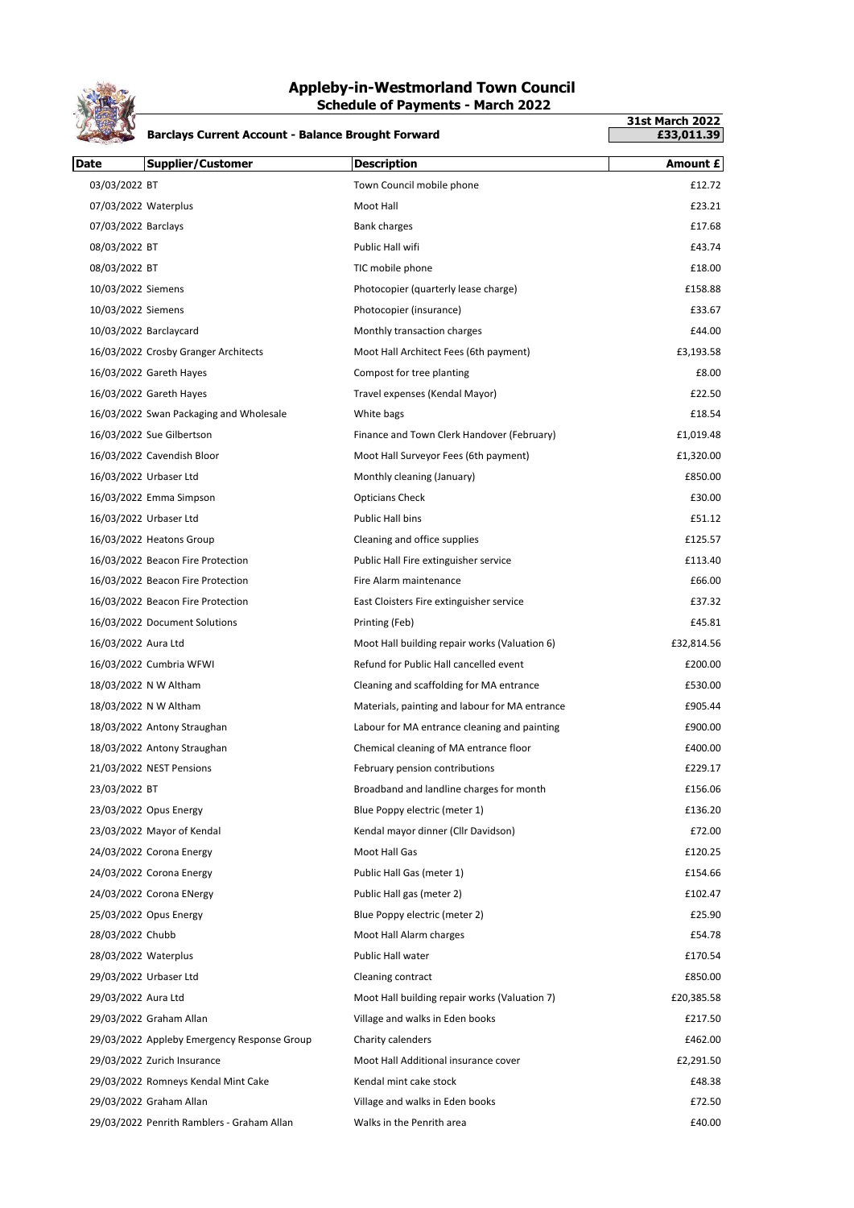

## **Appleby-in-Westmorland Town Council Schedule of Payments - March 2022**

|                      | <b>Barclays Current Account - Balance Brought Forward</b> |                                                | <b>31st March 2022</b><br>£33,011.39 |
|----------------------|-----------------------------------------------------------|------------------------------------------------|--------------------------------------|
| <b>Date</b>          | <b>Supplier/Customer</b>                                  | <b>Description</b>                             | Amount £                             |
| 03/03/2022 BT        |                                                           | Town Council mobile phone                      | £12.72                               |
| 07/03/2022 Waterplus |                                                           | Moot Hall                                      | £23.21                               |
| 07/03/2022 Barclays  |                                                           | <b>Bank charges</b>                            | £17.68                               |
| 08/03/2022 BT        |                                                           | Public Hall wifi                               | £43.74                               |
| 08/03/2022 BT        |                                                           | TIC mobile phone                               | £18.00                               |
| 10/03/2022 Siemens   |                                                           | Photocopier (quarterly lease charge)           | £158.88                              |
| 10/03/2022 Siemens   |                                                           | Photocopier (insurance)                        | £33.67                               |
|                      | 10/03/2022 Barclaycard                                    | Monthly transaction charges                    | £44.00                               |
|                      | 16/03/2022 Crosby Granger Architects                      | Moot Hall Architect Fees (6th payment)         | £3,193.58                            |
|                      | 16/03/2022 Gareth Hayes                                   | Compost for tree planting                      | £8.00                                |
|                      | 16/03/2022 Gareth Hayes                                   | Travel expenses (Kendal Mayor)                 | £22.50                               |
|                      | 16/03/2022 Swan Packaging and Wholesale                   | White bags                                     | £18.54                               |
|                      | 16/03/2022 Sue Gilbertson                                 | Finance and Town Clerk Handover (February)     | £1,019.48                            |
|                      | 16/03/2022 Cavendish Bloor                                | Moot Hall Surveyor Fees (6th payment)          | £1,320.00                            |
|                      | 16/03/2022 Urbaser Ltd                                    | Monthly cleaning (January)                     | £850.00                              |
|                      | 16/03/2022 Emma Simpson                                   | <b>Opticians Check</b>                         | £30.00                               |
|                      | 16/03/2022 Urbaser Ltd                                    | Public Hall bins                               | £51.12                               |
|                      | 16/03/2022 Heatons Group                                  | Cleaning and office supplies                   | £125.57                              |
|                      | 16/03/2022 Beacon Fire Protection                         | Public Hall Fire extinguisher service          | £113.40                              |
|                      | 16/03/2022 Beacon Fire Protection                         | Fire Alarm maintenance                         | £66.00                               |
|                      | 16/03/2022 Beacon Fire Protection                         | East Cloisters Fire extinguisher service       | £37.32                               |
|                      | 16/03/2022 Document Solutions                             | Printing (Feb)                                 | £45.81                               |
| 16/03/2022 Aura Ltd  |                                                           | Moot Hall building repair works (Valuation 6)  | £32,814.56                           |
|                      | 16/03/2022 Cumbria WFWI                                   | Refund for Public Hall cancelled event         | £200.00                              |
|                      | 18/03/2022 N W Altham                                     | Cleaning and scaffolding for MA entrance       | £530.00                              |
|                      | 18/03/2022 N W Altham                                     | Materials, painting and labour for MA entrance | £905.44                              |
|                      | 18/03/2022 Antony Straughan                               | Labour for MA entrance cleaning and painting   | £900.00                              |
|                      | 18/03/2022 Antony Straughan                               | Chemical cleaning of MA entrance floor         | £400.00                              |
|                      | 21/03/2022 NEST Pensions                                  | February pension contributions                 | £229.17                              |
| 23/03/2022 BT        |                                                           | Broadband and landline charges for month       | £156.06                              |
|                      | 23/03/2022 Opus Energy                                    | Blue Poppy electric (meter 1)                  | £136.20                              |
|                      | 23/03/2022 Mayor of Kendal                                | Kendal mayor dinner (Cllr Davidson)            | £72.00                               |
|                      | 24/03/2022 Corona Energy                                  | Moot Hall Gas                                  | £120.25                              |
|                      | 24/03/2022 Corona Energy                                  | Public Hall Gas (meter 1)                      | £154.66                              |
|                      | 24/03/2022 Corona ENergy                                  | Public Hall gas (meter 2)                      | £102.47                              |
|                      | 25/03/2022 Opus Energy                                    | Blue Poppy electric (meter 2)                  | £25.90                               |
| 28/03/2022 Chubb     |                                                           | Moot Hall Alarm charges                        | £54.78                               |
| 28/03/2022 Waterplus |                                                           | Public Hall water                              | £170.54                              |
|                      | 29/03/2022 Urbaser Ltd                                    | Cleaning contract                              | £850.00                              |
| 29/03/2022 Aura Ltd  |                                                           | Moot Hall building repair works (Valuation 7)  | £20,385.58                           |
|                      | 29/03/2022 Graham Allan                                   | Village and walks in Eden books                | £217.50                              |
|                      | 29/03/2022 Appleby Emergency Response Group               | Charity calenders                              | £462.00                              |
|                      | 29/03/2022 Zurich Insurance                               | Moot Hall Additional insurance cover           | £2,291.50                            |
|                      | 29/03/2022 Romneys Kendal Mint Cake                       | Kendal mint cake stock                         | £48.38                               |
|                      | 29/03/2022 Graham Allan                                   | Village and walks in Eden books                | £72.50                               |
|                      | 29/03/2022 Penrith Ramblers - Graham Allan                | Walks in the Penrith area                      | £40.00                               |